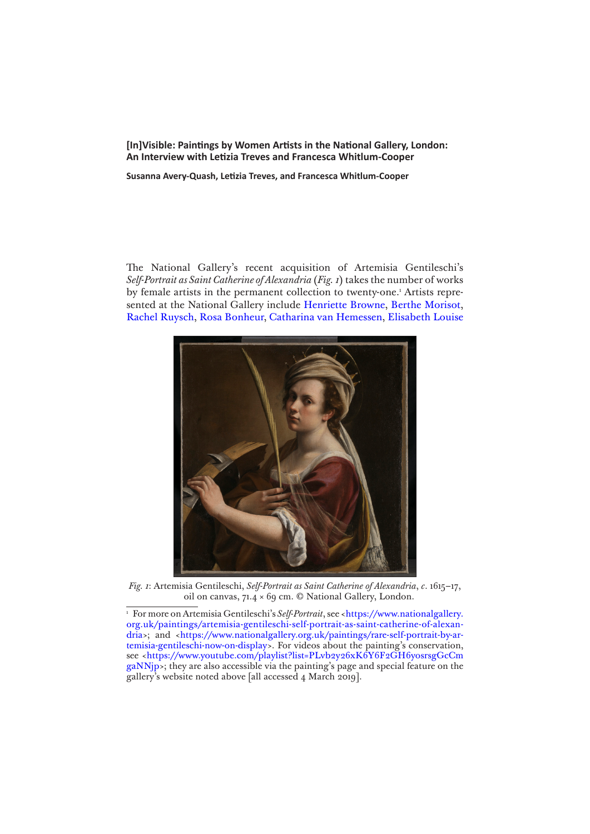**[In]Visible: Paintings by Women Artists in the National Gallery, London: An Interview with Letizia Treves and Francesca Whitlum-Cooper**

**Susanna Avery-Quash, Letizia Treves, and Francesca Whitlum-Cooper**

The National Gallery's recent acquisition of Artemisia Gentileschi's *Self-Portrait as Saint Catherine of Alexandria* (*Fig. 1*) takes the number of works by female artists in the permanent collection to twenty-one.<sup>1</sup> Artists represented at the National Gallery include [Henriette Browne,](https://www.nationalgallery.org.uk/artists/henriette-browne) [Berthe Morisot,](https://www.nationalgallery.org.uk/artists/berthe-morisot) [Rachel Ruysch,](https://www.nationalgallery.org.uk/artists/rachel-ruysch) [Rosa Bonheur](https://www.nationalgallery.org.uk/artists/rosa-bonheur), [Catharina van Hemessen,](https://www.nationalgallery.org.uk/artists/catharina-van-hemessen) [Elisabeth Louise](https://www.nationalgallery.org.uk/artists/elisabeth-louise-vigee-le-brun) 



*Fig. 1*: Artemisia Gentileschi, *Self-Portrait as Saint Catherine of Alexandria*, *c*. 1615–17, oil on canvas, 71.4 × 69 cm. © National Gallery, London.

<sup>&</sup>lt;sup>1</sup> For more on Artemisia Gentileschi's *Self-Portrait*, see <[https://www.nationalgallery.](https://www.nationalgallery.org.uk/paintings/artemisia-gentileschi-self-portrait-as-saint-catherine-of-alexandria) [org.uk/paintings/artemisia-gentileschi-self-portrait-as-saint-catherine-of-alexan](https://www.nationalgallery.org.uk/paintings/artemisia-gentileschi-self-portrait-as-saint-catherine-of-alexandria)[dria](https://www.nationalgallery.org.uk/paintings/artemisia-gentileschi-self-portrait-as-saint-catherine-of-alexandria)>; and <[https://www.nationalgallery.org.uk/paintings/rare-self-portrait-by-ar](https://www.nationalgallery.org.uk/paintings/rare-self-portrait-by-artemisia-gentileschi-now-on-display)[temisia-gentileschi-now-on-display>](https://www.nationalgallery.org.uk/paintings/rare-self-portrait-by-artemisia-gentileschi-now-on-display). For videos about the painting's conservation, see [<https://www.youtube.com/playlist?list=PLvb2y26xK6Y6F2GH6yosrsgGcCm](https://www.youtube.com/playlist?list=PLvb2y26xK6Y6F2GH6yosrsgGcCmgaNNjp) [gaNNjp>](https://www.youtube.com/playlist?list=PLvb2y26xK6Y6F2GH6yosrsgGcCmgaNNjp); they are also accessible via the painting's page and special feature on the gallery's website noted above [all accessed 4 March 2019].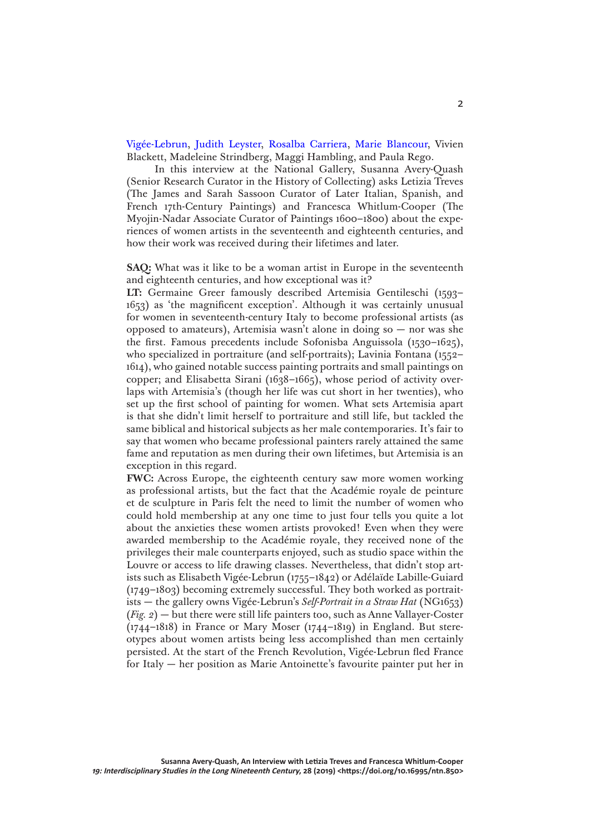[Vigée-Lebrun](https://www.nationalgallery.org.uk/artists/elisabeth-louise-vigee-le-brun), [Judith Leyster](https://www.nationalgallery.org.uk/artists/judith-leyster), [Rosalba Carriera,](https://www.nationalgallery.org.uk/artists/rosalba-carriera) [Marie Blancour](https://www.nationalgallery.org.uk/artists/marie-blancour), Vivien Blackett, Madeleine Strindberg, Maggi Hambling, and Paula Rego.

In this interview at the National Gallery, Susanna Avery-Quash (Senior Research Curator in the History of Collecting) asks Letizia Treves (The James and Sarah Sassoon Curator of Later Italian, Spanish, and French 17th-Century Paintings) and Francesca Whitlum-Cooper (The Myojin-Nadar Associate Curator of Paintings 1600–1800) about the experiences of women artists in the seventeenth and eighteenth centuries, and how their work was received during their lifetimes and later.

**SAQ:** What was it like to be a woman artist in Europe in the seventeenth and eighteenth centuries, and how exceptional was it?

**LT:** Germaine Greer famously described Artemisia Gentileschi (1593– 1653) as 'the magnificent exception'. Although it was certainly unusual for women in seventeenth-century Italy to become professional artists (as opposed to amateurs), Artemisia wasn't alone in doing so — nor was she the first. Famous precedents include Sofonisba Anguissola (1530–1625), who specialized in portraiture (and self-portraits); Lavinia Fontana (1552– 1614), who gained notable success painting portraits and small paintings on copper; and Elisabetta Sirani (1638–1665), whose period of activity overlaps with Artemisia's (though her life was cut short in her twenties), who set up the first school of painting for women. What sets Artemisia apart is that she didn't limit herself to portraiture and still life, but tackled the same biblical and historical subjects as her male contemporaries. It's fair to say that women who became professional painters rarely attained the same fame and reputation as men during their own lifetimes, but Artemisia is an exception in this regard.

**FWC:** Across Europe, the eighteenth century saw more women working as professional artists, but the fact that the Académie royale de peinture et de sculpture in Paris felt the need to limit the number of women who could hold membership at any one time to just four tells you quite a lot about the anxieties these women artists provoked! Even when they were awarded membership to the Académie royale, they received none of the privileges their male counterparts enjoyed, such as studio space within the Louvre or access to life drawing classes. Nevertheless, that didn't stop artists such as Elisabeth Vigée-Lebrun (1755–1842) or Adélaïde Labille-Guiard (1749–1803) becoming extremely successful. They both worked as portraitists — the gallery owns Vigée-Lebrun's *Self-Portrait in a Straw Hat* (NG1653) (*Fig. 2*) — but there were still life painters too, such as Anne Vallayer-Coster (1744–1818) in France or Mary Moser (1744–1819) in England. But stereotypes about women artists being less accomplished than men certainly persisted. At the start of the French Revolution, Vigée-Lebrun fled France for Italy — her position as Marie Antoinette's favourite painter put her in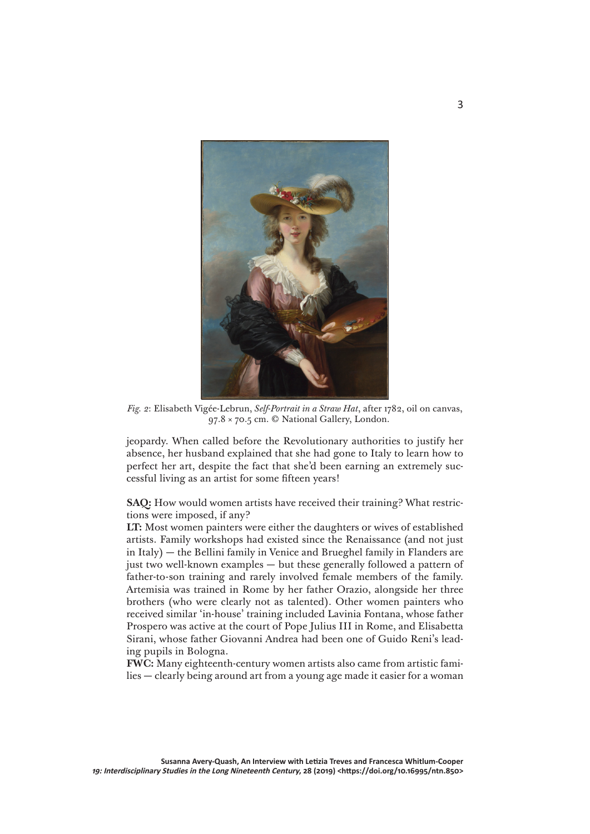

*Fig. 2*: Elisabeth Vigée-Lebrun, *Self-Portrait in a Straw Hat*, after 1782, oil on canvas, 97.8 × 70.5 cm. © National Gallery, London.

jeopardy. When called before the Revolutionary authorities to justify her absence, her husband explained that she had gone to Italy to learn how to perfect her art, despite the fact that she'd been earning an extremely successful living as an artist for some fifteen years!

**SAQ:** How would women artists have received their training? What restrictions were imposed, if any?

**LT:** Most women painters were either the daughters or wives of established artists. Family workshops had existed since the Renaissance (and not just in Italy) — the Bellini family in Venice and Brueghel family in Flanders are just two well-known examples — but these generally followed a pattern of father-to-son training and rarely involved female members of the family. Artemisia was trained in Rome by her father Orazio, alongside her three brothers (who were clearly not as talented). Other women painters who received similar 'in-house' training included Lavinia Fontana, whose father Prospero was active at the court of Pope Julius III in Rome, and Elisabetta Sirani, whose father Giovanni Andrea had been one of Guido Reni's leading pupils in Bologna.

**FWC:** Many eighteenth-century women artists also came from artistic families — clearly being around art from a young age made it easier for a woman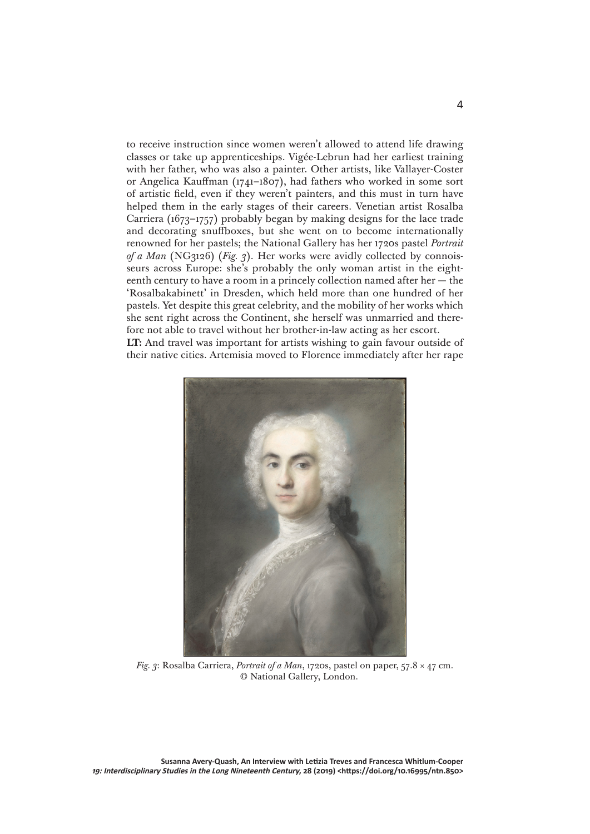to receive instruction since women weren't allowed to attend life drawing classes or take up apprenticeships. Vigée-Lebrun had her earliest training with her father, who was also a painter. Other artists, like Vallayer-Coster or Angelica Kauffman (1741–1807), had fathers who worked in some sort of artistic field, even if they weren't painters, and this must in turn have helped them in the early stages of their careers. Venetian artist Rosalba Carriera (1673–1757) probably began by making designs for the lace trade and decorating snuffboxes, but she went on to become internationally renowned for her pastels; the National Gallery has her 1720s pastel *Portrait of a Man* (NG3126) (*Fig. 3*). Her works were avidly collected by connoisseurs across Europe: she's probably the only woman artist in the eighteenth century to have a room in a princely collection named after her  $-$  the 'Rosalbakabinett' in Dresden, which held more than one hundred of her pastels. Yet despite this great celebrity, and the mobility of her works which she sent right across the Continent, she herself was unmarried and therefore not able to travel without her brother-in-law acting as her escort. **LT:** And travel was important for artists wishing to gain favour outside of their native cities. Artemisia moved to Florence immediately after her rape



*Fig. 3*: Rosalba Carriera, *Portrait of a Man*, 1720s, pastel on paper, 57.8 × 47 cm. © National Gallery, London.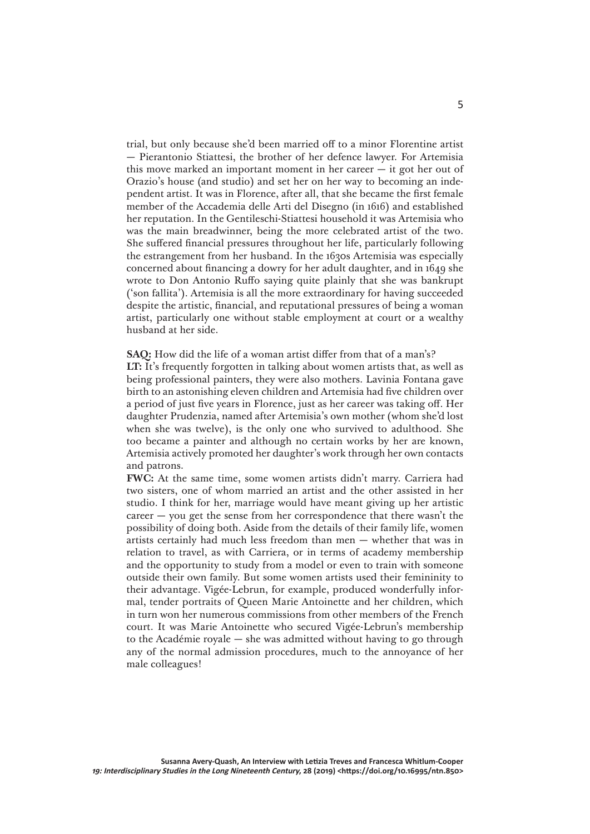trial, but only because she'd been married off to a minor Florentine artist — Pierantonio Stiattesi, the brother of her defence lawyer. For Artemisia this move marked an important moment in her career — it got her out of Orazio's house (and studio) and set her on her way to becoming an independent artist. It was in Florence, after all, that she became the first female member of the Accademia delle Arti del Disegno (in 1616) and established her reputation. In the Gentileschi-Stiattesi household it was Artemisia who was the main breadwinner, being the more celebrated artist of the two. She suffered financial pressures throughout her life, particularly following the estrangement from her husband. In the 1630s Artemisia was especially concerned about financing a dowry for her adult daughter, and in 1649 she wrote to Don Antonio Ruffo saying quite plainly that she was bankrupt ('son fallita'). Artemisia is all the more extraordinary for having succeeded despite the artistic, financial, and reputational pressures of being a woman artist, particularly one without stable employment at court or a wealthy husband at her side.

**SAQ:** How did the life of a woman artist differ from that of a man's?

**LT:** It's frequently forgotten in talking about women artists that, as well as being professional painters, they were also mothers. Lavinia Fontana gave birth to an astonishing eleven children and Artemisia had five children over a period of just five years in Florence, just as her career was taking off. Her daughter Prudenzia, named after Artemisia's own mother (whom she'd lost when she was twelve), is the only one who survived to adulthood. She too became a painter and although no certain works by her are known, Artemisia actively promoted her daughter's work through her own contacts and patrons.

**FWC:** At the same time, some women artists didn't marry. Carriera had two sisters, one of whom married an artist and the other assisted in her studio. I think for her, marriage would have meant giving up her artistic  $c \cdot c \cdot c \cdot c$  are  $c \cdot c \cdot c \cdot c$  was  $c \cdot c \cdot c \cdot c \cdot c$  the career  $-c \cdot c \cdot c \cdot c \cdot c \cdot c$  the possibility of doing both. Aside from the details of their family life, women artists certainly had much less freedom than men — whether that was in relation to travel, as with Carriera, or in terms of academy membership and the opportunity to study from a model or even to train with someone outside their own family. But some women artists used their femininity to their advantage. Vigée-Lebrun, for example, produced wonderfully informal, tender portraits of Queen Marie Antoinette and her children, which in turn won her numerous commissions from other members of the French court. It was Marie Antoinette who secured Vigée-Lebrun's membership to the Académie royale — she was admitted without having to go through any of the normal admission procedures, much to the annoyance of her male colleagues!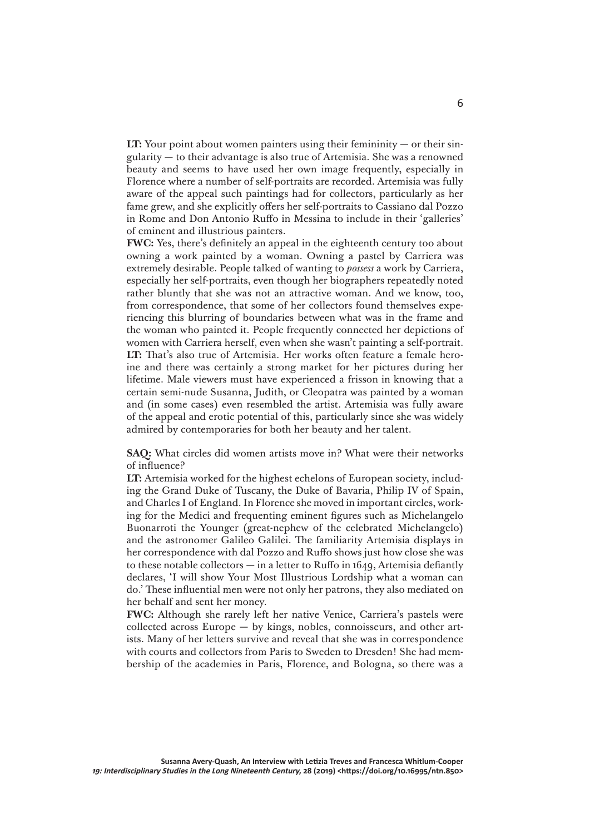**LT:** Your point about women painters using their femininity — or their singularity — to their advantage is also true of Artemisia. She was a renowned beauty and seems to have used her own image frequently, especially in Florence where a number of self-portraits are recorded. Artemisia was fully aware of the appeal such paintings had for collectors, particularly as her fame grew, and she explicitly offers her self-portraits to Cassiano dal Pozzo in Rome and Don Antonio Ruffo in Messina to include in their 'galleries' of eminent and illustrious painters.

**FWC:** Yes, there's definitely an appeal in the eighteenth century too about owning a work painted by a woman. Owning a pastel by Carriera was extremely desirable. People talked of wanting to *possess* a work by Carriera, especially her self-portraits, even though her biographers repeatedly noted rather bluntly that she was not an attractive woman. And we know, too, from correspondence, that some of her collectors found themselves experiencing this blurring of boundaries between what was in the frame and the woman who painted it. People frequently connected her depictions of women with Carriera herself, even when she wasn't painting a self-portrait. **LT:** That's also true of Artemisia. Her works often feature a female heroine and there was certainly a strong market for her pictures during her lifetime. Male viewers must have experienced a frisson in knowing that a certain semi-nude Susanna, Judith, or Cleopatra was painted by a woman and (in some cases) even resembled the artist. Artemisia was fully aware of the appeal and erotic potential of this, particularly since she was widely admired by contemporaries for both her beauty and her talent.

**SAQ:** What circles did women artists move in? What were their networks of influence?

**LT:** Artemisia worked for the highest echelons of European society, including the Grand Duke of Tuscany, the Duke of Bavaria, Philip IV of Spain, and Charles I of England. In Florence she moved in important circles, working for the Medici and frequenting eminent figures such as Michelangelo Buonarroti the Younger (great-nephew of the celebrated Michelangelo) and the astronomer Galileo Galilei. The familiarity Artemisia displays in her correspondence with dal Pozzo and Ruffo shows just how close she was to these notable collectors — in a letter to Ruffo in 1649, Artemisia defiantly declares, 'I will show Your Most Illustrious Lordship what a woman can do.' These influential men were not only her patrons, they also mediated on her behalf and sent her money.

**FWC:** Although she rarely left her native Venice, Carriera's pastels were collected across Europe — by kings, nobles, connoisseurs, and other artists. Many of her letters survive and reveal that she was in correspondence with courts and collectors from Paris to Sweden to Dresden! She had membership of the academies in Paris, Florence, and Bologna, so there was a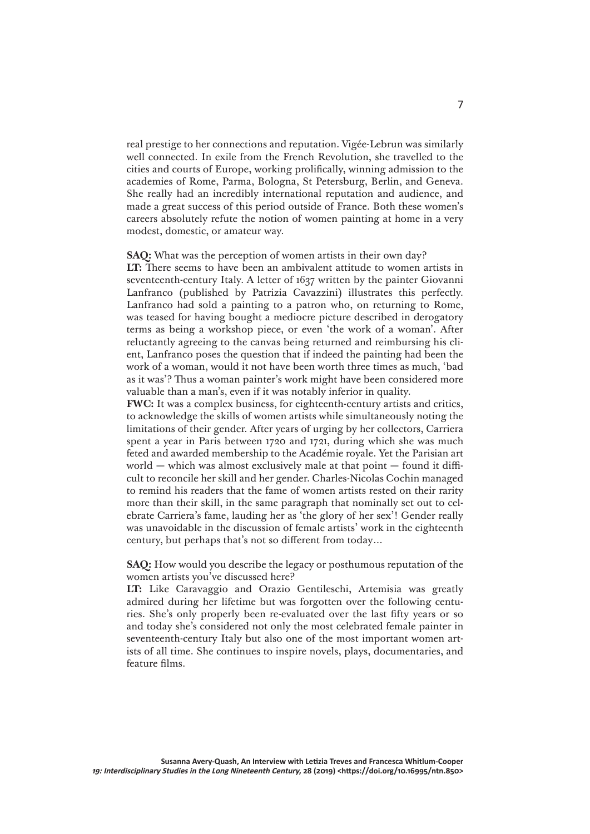real prestige to her connections and reputation. Vigée-Lebrun was similarly well connected. In exile from the French Revolution, she travelled to the cities and courts of Europe, working prolifically, winning admission to the academies of Rome, Parma, Bologna, St Petersburg, Berlin, and Geneva. She really had an incredibly international reputation and audience, and made a great success of this period outside of France. Both these women's careers absolutely refute the notion of women painting at home in a very modest, domestic, or amateur way.

## **SAQ:** What was the perception of women artists in their own day?

**LT:** There seems to have been an ambivalent attitude to women artists in seventeenth-century Italy. A letter of 1637 written by the painter Giovanni Lanfranco (published by Patrizia Cavazzini) illustrates this perfectly. Lanfranco had sold a painting to a patron who, on returning to Rome, was teased for having bought a mediocre picture described in derogatory terms as being a workshop piece, or even 'the work of a woman'. After reluctantly agreeing to the canvas being returned and reimbursing his client, Lanfranco poses the question that if indeed the painting had been the work of a woman, would it not have been worth three times as much, 'bad as it was'? Thus a woman painter's work might have been considered more valuable than a man's, even if it was notably inferior in quality.

**FWC:** It was a complex business, for eighteenth-century artists and critics, to acknowledge the skills of women artists while simultaneously noting the limitations of their gender. After years of urging by her collectors, Carriera spent a year in Paris between 1720 and 1721, during which she was much feted and awarded membership to the Académie royale. Yet the Parisian art world — which was almost exclusively male at that point — found it difficult to reconcile her skill and her gender. Charles-Nicolas Cochin managed to remind his readers that the fame of women artists rested on their rarity more than their skill, in the same paragraph that nominally set out to celebrate Carriera's fame, lauding her as 'the glory of her sex'! Gender really was unavoidable in the discussion of female artists' work in the eighteenth century, but perhaps that's not so different from today…

## **SAQ:** How would you describe the legacy or posthumous reputation of the women artists you've discussed here?

**LT:** Like Caravaggio and Orazio Gentileschi, Artemisia was greatly admired during her lifetime but was forgotten over the following centuries. She's only properly been re-evaluated over the last fifty years or so and today she's considered not only the most celebrated female painter in seventeenth-century Italy but also one of the most important women artists of all time. She continues to inspire novels, plays, documentaries, and feature films.